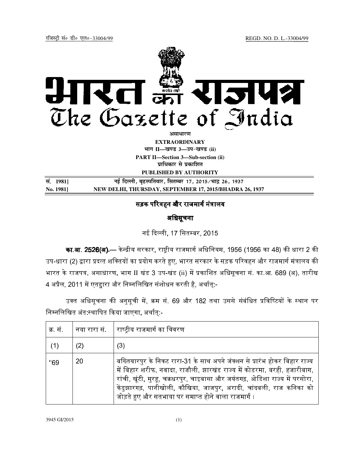

**EXTRAORDINARY Hkkx II—[k.M 3—mi&[k.M (ii)**

**PART II—Section 3—Sub-section (ii) प्राधिकार से प्रकाशित** 

**PUBLISHED BY AUTHORITY**

| सं. 1981] | नई दिल्ली, बृहस्पतिवार, सितम्बर 17, 2015/भाद्र 26, 1937 |
|-----------|---------------------------------------------------------|
| No. 1981] | NEW DELHI, THURSDAY, SEPTEMBER 17, 2015/BHADRA 26, 1937 |

# सड़क परिवहन और राजमार्ग मंत्रालय

# अिधसूचना

नई दिल्ली, 17 सितम्बर, 2015

<mark>का.आ. 2526(अ).—</mark> केन्द्रीय सरकार, राष्ट्रीय राजमार्ग अधिनियम, 1956 (1956 का 48) की धारा 2 की उप-धारा (2) द्वारा प्रदत्त शक्तियों का प्रयोग करते हुए, भारत सरकार के सड़क परिवहन और राजमार्ग मंत्रालय की भारत के राजपत्र, असाधारण, भाग II खंड 3 उप-खंड (ii) में प्रकाशित अधिसूचना सं. का.आ. 689 (अ), तारीख 4 अप्रैल, 2011 में एतद्वारा और निम्नलिखित संशोधन करती है, अर्थात्:-

उक्त अधिसूचना की अनुसूची में, क्रम सं. 69 और 182 तथा उससे संबंधित प्रविष्टियों के स्थान पर निम्नलिखित अंत:स्थापित किया जाएगा, अर्थात:-

| क्र सं |     | नया रारा सं.      राष्ट्रीय राजमार्ग का विवरण                                                                                                                                                                                                                                                                                                                      |
|--------|-----|--------------------------------------------------------------------------------------------------------------------------------------------------------------------------------------------------------------------------------------------------------------------------------------------------------------------------------------------------------------------|
| (1)    | (2) | (3)                                                                                                                                                                                                                                                                                                                                                                |
| "69    | 20  | बख्तियारपुर के निकट रारा-31 के साथ अपने जंक्शन से प्रारंभ होकर बिहार राज्य<br>में बिहार शरीफ, नवादा, राजौली, झारखंड राज्य में कोडरमा, बरही, हजारीबाग,<br>रांची, खूंटी, मुरहू, चक्रधरपुर, चाइबासा और जयंतगढ़, ओडिशा राज्य में परसोरा,<br>केंडुझारगढ़, पानीखोली, कौखिया, जाजपुर, अरादी, चांदबली, राज कनिका को<br>जोड़ते हुए और सतभाया पर समाप्त होने वाला राजमार्ग । |

3945 GI/2015 (1)